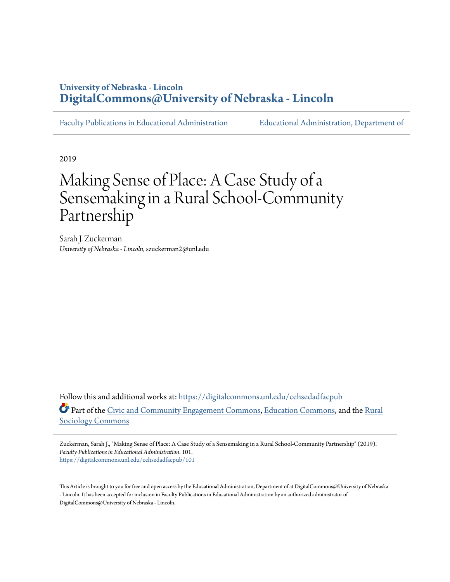## **University of Nebraska - Lincoln [DigitalCommons@University of Nebraska - Lincoln](https://digitalcommons.unl.edu?utm_source=digitalcommons.unl.edu%2Fcehsedadfacpub%2F101&utm_medium=PDF&utm_campaign=PDFCoverPages)**

[Faculty Publications in Educational Administration](https://digitalcommons.unl.edu/cehsedadfacpub?utm_source=digitalcommons.unl.edu%2Fcehsedadfacpub%2F101&utm_medium=PDF&utm_campaign=PDFCoverPages) [Educational Administration, Department of](https://digitalcommons.unl.edu/educ_admin?utm_source=digitalcommons.unl.edu%2Fcehsedadfacpub%2F101&utm_medium=PDF&utm_campaign=PDFCoverPages)

2019

# Making Sense of Place: A Case Study of a Sensemaking in a Rural School-Community Partnership

Sarah J. Zuckerman *University of Nebraska - Lincoln*, szuckerman2@unl.edu

Follow this and additional works at: [https://digitalcommons.unl.edu/cehsedadfacpub](https://digitalcommons.unl.edu/cehsedadfacpub?utm_source=digitalcommons.unl.edu%2Fcehsedadfacpub%2F101&utm_medium=PDF&utm_campaign=PDFCoverPages) Part of the [Civic and Community Engagement Commons,](http://network.bepress.com/hgg/discipline/1028?utm_source=digitalcommons.unl.edu%2Fcehsedadfacpub%2F101&utm_medium=PDF&utm_campaign=PDFCoverPages) [Education Commons,](http://network.bepress.com/hgg/discipline/784?utm_source=digitalcommons.unl.edu%2Fcehsedadfacpub%2F101&utm_medium=PDF&utm_campaign=PDFCoverPages) and the [Rural](http://network.bepress.com/hgg/discipline/428?utm_source=digitalcommons.unl.edu%2Fcehsedadfacpub%2F101&utm_medium=PDF&utm_campaign=PDFCoverPages) [Sociology Commons](http://network.bepress.com/hgg/discipline/428?utm_source=digitalcommons.unl.edu%2Fcehsedadfacpub%2F101&utm_medium=PDF&utm_campaign=PDFCoverPages)

Zuckerman, Sarah J., "Making Sense of Place: A Case Study of a Sensemaking in a Rural School-Community Partnership" (2019). *Faculty Publications in Educational Administration*. 101. [https://digitalcommons.unl.edu/cehsedadfacpub/101](https://digitalcommons.unl.edu/cehsedadfacpub/101?utm_source=digitalcommons.unl.edu%2Fcehsedadfacpub%2F101&utm_medium=PDF&utm_campaign=PDFCoverPages)

This Article is brought to you for free and open access by the Educational Administration, Department of at DigitalCommons@University of Nebraska - Lincoln. It has been accepted for inclusion in Faculty Publications in Educational Administration by an authorized administrator of DigitalCommons@University of Nebraska - Lincoln.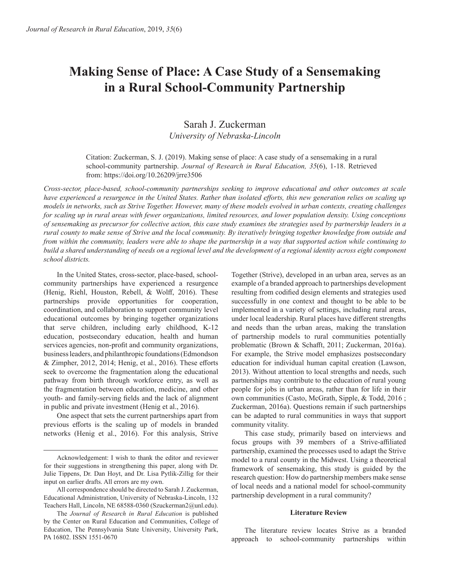# **Making Sense of Place: A Case Study of a Sensemaking in a Rural School-Community Partnership**

### Sarah J. Zuckerman *University of Nebraska-Lincoln*

Citation: Zuckerman, S. J. (2019). Making sense of place: A case study of a sensemaking in a rural school-community partnership. *Journal of Research in Rural Education, 35*(6), 1-18. Retrieved from: https://doi.org/10.26209/jrre3506

*Cross-sector, place-based, school-community partnerships seeking to improve educational and other outcomes at scale*  have experienced a resurgence in the United States. Rather than isolated efforts, this new generation relies on scaling up *models in networks, such as Strive Together. However, many of these models evolved in urban contexts, creating challenges for scaling up in rural areas with fewer organizations, limited resources, and lower population density. Using conceptions of sensemaking as precursor for collective action, this case study examines the strategies used by partnership leaders in a rural county to make sense of Strive and the local community. By iteratively bringing together knowledge from outside and from within the community, leaders were able to shape the partnership in a way that supported action while continuing to build a shared understanding of needs on a regional level and the development of a regional identity across eight component school districts.*

In the United States, cross-sector, place-based, schoolcommunity partnerships have experienced a resurgence (Henig, Riehl, Houston, Rebell, & Wolff, 2016). These partnerships provide opportunities for cooperation, coordination, and collaboration to support community level educational outcomes by bringing together organizations that serve children, including early childhood, K-12 education, postsecondary education, health and human services agencies, non-profit and community organizations, business leaders, and philanthropic foundations (Edmondson & Zimpher, 2012, 2014; Henig, et al., 2016). These efforts seek to overcome the fragmentation along the educational pathway from birth through workforce entry, as well as the fragmentation between education, medicine, and other youth- and family-serving fields and the lack of alignment in public and private investment (Henig et al., 2016).

One aspect that sets the current partnerships apart from previous efforts is the scaling up of models in branded networks (Henig et al., 2016). For this analysis, Strive Together (Strive), developed in an urban area, serves as an example of a branded approach to partnerships development resulting from codified design elements and strategies used successfully in one context and thought to be able to be implemented in a variety of settings, including rural areas, under local leadership. Rural places have different strengths and needs than the urban areas, making the translation of partnership models to rural communities potentially problematic (Brown & Schafft, 2011; Zuckerman, 2016a). For example, the Strive model emphasizes postsecondary education for individual human capital creation (Lawson, 2013). Without attention to local strengths and needs, such partnerships may contribute to the education of rural young people for jobs in urban areas, rather than for life in their own communities (Casto, McGrath, Sipple, & Todd, 2016 ; Zuckerman, 2016a). Questions remain if such partnerships can be adapted to rural communities in ways that support community vitality.

This case study, primarily based on interviews and focus groups with 39 members of a Strive-affiliated partnership, examined the processes used to adapt the Strive model to a rural county in the Midwest. Using a theoretical framework of sensemaking, this study is guided by the research question: How do partnership members make sense of local needs and a national model for school-community partnership development in a rural community?

#### **Literature Review**

The literature review locates Strive as a branded approach to school-community partnerships within

Acknowledgement: I wish to thank the editor and reviewer for their suggestions in strengthening this paper, along with Dr. Julie Tippens, Dr. Dan Hoyt, and Dr. Lisa Pytlik-Zillig for their input on earlier drafts. All errors are my own.

All correspondence should be directed to Sarah J. Zuckerman, Educational Administration, University of Nebraska-Lincoln, 132 Teachers Hall, Lincoln, NE 68588-0360 (Szuckerman2@unl.edu).

The *Journal of Research in Rural Education* is published by the Center on Rural Education and Communities, College of Education, The Pennsylvania State University, University Park, PA 16802. ISSN 1551-0670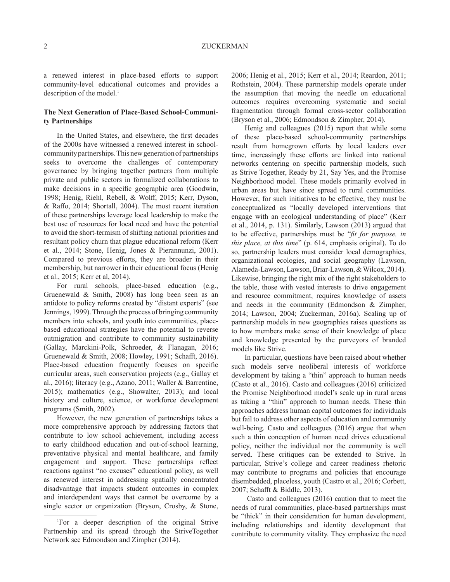a renewed interest in place-based efforts to support community-level educational outcomes and provides a description of the model.<sup>1</sup>

#### **The Next Generation of Place-Based School-Community Partnerships**

In the United States, and elsewhere, the first decades of the 2000s have witnessed a renewed interest in schoolcommunity partnerships. This new generation of partnerships seeks to overcome the challenges of contemporary governance by bringing together partners from multiple private and public sectors in formalized collaborations to make decisions in a specific geographic area (Goodwin, 1998; Henig, Riehl, Rebell, & Wolff, 2015; Kerr, Dyson, & Raffo, 2014; Shortall, 2004). The most recent iteration of these partnerships leverage local leadership to make the best use of resources for local need and have the potential to avoid the short-termism of shifting national priorities and resultant policy churn that plague educational reform (Kerr et al., 2014; Stone, Henig, Jones & Pierannunzi, 2001). Compared to previous efforts, they are broader in their membership, but narrower in their educational focus (Henig et al., 2015; Kerr et al, 2014).

For rural schools, place-based education (e.g., Gruenewald & Smith, 2008) has long been seen as an antidote to policy reforms created by "distant experts" (see Jennings, 1999). Through the process of bringing community members into schools, and youth into communities, placebased educational strategies have the potential to reverse outmigration and contribute to community sustainability (Gallay, Marckini-Polk, Schroeder, & Flanagan, 2016; Gruenewald & Smith, 2008; Howley, 1991; Schafft, 2016). Place-based education frequently focuses on specific curricular areas, such conservation projects (e.g., Gallay et al., 2016); literacy (e.g., Azano, 2011; Waller & Barrentine, 2015); mathematics (e.g., Showalter, 2013); and local history and culture, science, or workforce development programs (Smith, 2002).

However, the new generation of partnerships takes a more comprehensive approach by addressing factors that contribute to low school achievement, including access to early childhood education and out-of-school learning, preventative physical and mental healthcare, and family engagement and support. These partnerships reflect reactions against "no excuses" educational policy, as well as renewed interest in addressing spatially concentrated disadvantage that impacts student outcomes in complex and interdependent ways that cannot be overcome by a single sector or organization (Bryson, Crosby, & Stone, 2006; Henig et al., 2015; Kerr et al., 2014; Reardon, 2011; Rothstein, 2004). These partnership models operate under the assumption that moving the needle on educational outcomes requires overcoming systematic and social fragmentation through formal cross-sector collaboration (Bryson et al., 2006; Edmondson & Zimpher, 2014).

Henig and colleagues (2015) report that while some of these place-based school-community partnerships result from homegrown efforts by local leaders over time, increasingly these efforts are linked into national networks centering on specific partnership models, such as Strive Together, Ready by 21, Say Yes, and the Promise Neighborhood model. These models primarily evolved in urban areas but have since spread to rural communities. However, for such initiatives to be effective, they must be conceptualized as "locally developed interventions that engage with an ecological understanding of place" (Kerr et al., 2014, p. 131). Similarly, Lawson (2013) argued that to be effective, partnerships must be "fit for purpose, in *this place, at this time*" (p. 614, emphasis original). To do so, partnership leaders must consider local demographics, organizational ecologies, and social geography (Lawson, Alameda-Lawson, Lawson, Briar-Lawson, & Wilcox, 2014). Likewise, bringing the right mix of the right stakeholders to the table, those with vested interests to drive engagement and resource commitment, requires knowledge of assets and needs in the community (Edmondson & Zimpher, 2014; Lawson, 2004; Zuckerman, 2016a). Scaling up of partnership models in new geographies raises questions as to how members make sense of their knowledge of place and knowledge presented by the purveyors of branded models like Strive.

In particular, questions have been raised about whether such models serve neoliberal interests of workforce development by taking a "thin" approach to human needs (Casto et al., 2016). Casto and colleagues (2016) criticized the Promise Neighborhood model's scale up in rural areas as taking a "thin" approach to human needs. These thin approaches address human capital outcomes for individuals but fail to address other aspects of education and community well-being. Casto and colleagues (2016) argue that when such a thin conception of human need drives educational policy, neither the individual nor the community is well served. These critiques can be extended to Strive. In particular, Strive's college and career readiness rhetoric may contribute to programs and policies that encourage disembedded, placeless, youth (Castro et al., 2016; Corbett, 2007; Schafft & Biddle, 2013).

 Casto and colleagues (2016) caution that to meet the needs of rural communities, place-based partnerships must be "thick" in their consideration for human development, including relationships and identity development that contribute to community vitality. They emphasize the need

<sup>1</sup> For a deeper description of the original Strive Partnership and its spread through the StriveTogether Network see Edmondson and Zimpher (2014).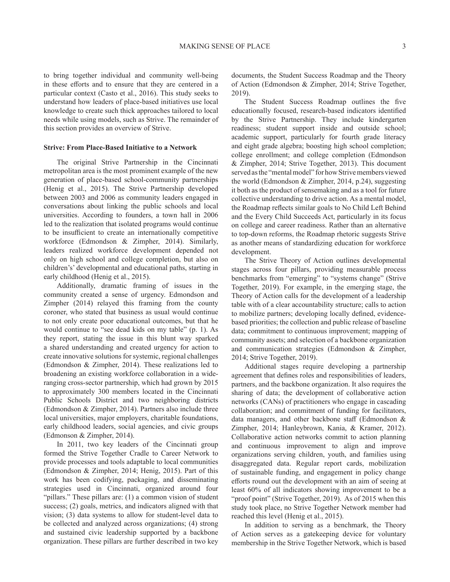to bring together individual and community well-being in these efforts and to ensure that they are centered in a particular context (Casto et al., 2016). This study seeks to understand how leaders of place-based initiatives use local knowledge to create such thick approaches tailored to local needs while using models, such as Strive. The remainder of this section provides an overview of Strive.

#### **Strive: From Place-Based Initiative to a Network**

The original Strive Partnership in the Cincinnati metropolitan area is the most prominent example of the new generation of place-based school-community partnerships (Henig et al., 2015). The Strive Partnership developed between 2003 and 2006 as community leaders engaged in conversations about linking the public schools and local universities. According to founders, a town hall in 2006 led to the realization that isolated programs would continue to be insufficient to create an internationally competitive workforce (Edmondson & Zimpher, 2014). Similarly, leaders realized workforce development depended not only on high school and college completion, but also on children's' developmental and educational paths, starting in early childhood (Henig et al., 2015).

Additionally, dramatic framing of issues in the community created a sense of urgency. Edmondson and Zimpher (2014) relayed this framing from the county coroner, who stated that business as usual would continue to not only create poor educational outcomes, but that he would continue to "see dead kids on my table" (p. 1). As they report, stating the issue in this blunt way sparked a shared understanding and created urgency for action to create innovative solutions for systemic, regional challenges (Edmondson & Zimpher, 2014). These realizations led to broadening an existing workforce collaboration in a wideranging cross-sector partnership, which had grown by 2015 to approximately 300 members located in the Cincinnati Public Schools District and two neighboring districts (Edmondson & Zimpher, 2014). Partners also include three local universities, major employers, charitable foundations, early childhood leaders, social agencies, and civic groups (Edmonson & Zimpher, 2014).

In 2011, two key leaders of the Cincinnati group formed the Strive Together Cradle to Career Network to provide processes and tools adaptable to local communities (Edmondson & Zimpher, 2014; Henig, 2015). Part of this work has been codifying, packaging, and disseminating strategies used in Cincinnati, organized around four "pillars." These pillars are: (1) a common vision of student success; (2) goals, metrics, and indicators aligned with that vision; (3) data systems to allow for student-level data to be collected and analyzed across organizations; (4) strong and sustained civic leadership supported by a backbone organization. These pillars are further described in two key documents, the Student Success Roadmap and the Theory of Action (Edmondson & Zimpher, 2014; Strive Together, 2019).

The Student Success Roadmap outlines the five educationally focused, research-based indicators identified by the Strive Partnership. They include kindergarten readiness; student support inside and outside school; academic support, particularly for fourth grade literacy and eight grade algebra; boosting high school completion; college enrollment; and college completion (Edmondson & Zimpher, 2014; Strive Together, 2013). This document served as the "mental model" for how Strive members viewed the world (Edmondson & Zimpher, 2014, p.24), suggesting it both as the product of sensemaking and as a tool for future collective understanding to drive action. As a mental model, the Roadmap reflects similar goals to No Child Left Behind and the Every Child Succeeds Act, particularly in its focus on college and career readiness. Rather than an alternative to top-down reforms, the Roadmap rhetoric suggests Strive as another means of standardizing education for workforce development.

The Strive Theory of Action outlines developmental stages across four pillars, providing measurable process benchmarks from "emerging" to "systems change" (Strive Together, 2019). For example, in the emerging stage, the Theory of Action calls for the development of a leadership table with of a clear accountability structure; calls to action to mobilize partners; developing locally defined, evidencebased priorities; the collection and public release of baseline data; commitment to continuous improvement; mapping of community assets; and selection of a backbone organization and communication strategies (Edmondson & Zimpher, 2014; Strive Together, 2019).

Additional stages require developing a partnership agreement that defines roles and responsibilities of leaders, partners, and the backbone organization. It also requires the sharing of data; the development of collaborative action networks (CANs) of practitioners who engage in cascading collaboration; and commitment of funding for facilitators, data managers, and other backbone staff (Edmondson & Zimpher, 2014; Hanleybrown, Kania, & Kramer, 2012). Collaborative action networks commit to action planning and continuous improvement to align and improve organizations serving children, youth, and families using disaggregated data. Regular report cards, mobilization of sustainable funding, and engagement in policy change efforts round out the development with an aim of seeing at least 60% of all indicators showing improvement to be a "proof point" (Strive Together, 2019). As of 2015 when this study took place, no Strive Together Network member had reached this level (Henig et al., 2015).

In addition to serving as a benchmark, the Theory of Action serves as a gatekeeping device for voluntary membership in the Strive Together Network, which is based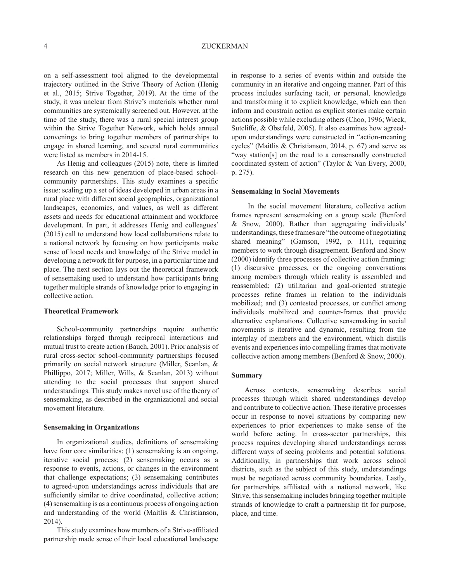on a self-assessment tool aligned to the developmental trajectory outlined in the Strive Theory of Action (Henig et al., 2015; Strive Together, 2019). At the time of the study, it was unclear from Strive's materials whether rural communities are systemically screened out. However, at the time of the study, there was a rural special interest group within the Strive Together Network, which holds annual convenings to bring together members of partnerships to engage in shared learning, and several rural communities were listed as members in 2014-15.

As Henig and colleagues (2015) note, there is limited research on this new generation of place-based schoolcommunity partnerships. This study examines a specific issue: scaling up a set of ideas developed in urban areas in a rural place with different social geographies, organizational landscapes, economies, and values, as well as different assets and needs for educational attainment and workforce development. In part, it addresses Henig and colleagues' (2015) call to understand how local collaborations relate to a national network by focusing on how participants make sense of local needs and knowledge of the Strive model in developing a network fit for purpose, in a particular time and place. The next section lays out the theoretical framework of sensemaking used to understand how participants bring together multiple strands of knowledge prior to engaging in collective action.

#### **Theoretical Framework**

School-community partnerships require authentic relationships forged through reciprocal interactions and mutual trust to create action (Bauch, 2001). Prior analysis of rural cross-sector school-community partnerships focused primarily on social network structure (Miller, Scanlan, & Phillippo, 2017; Miller, Wills, & Scanlan, 2013) without attending to the social processes that support shared understandings. This study makes novel use of the theory of sensemaking, as described in the organizational and social movement literature.

#### **Sensemaking in Organizations**

In organizational studies, definitions of sensemaking have four core similarities: (1) sensemaking is an ongoing, iterative social process; (2) sensemaking occurs as a response to events, actions, or changes in the environment that challenge expectations; (3) sensemaking contributes to agreed-upon understandings across individuals that are sufficiently similar to drive coordinated, collective action; (4) sensemaking is as a continuous process of ongoing action and understanding of the world (Maitlis & Christianson, 2014).

This study examines how members of a Strive-affiliated partnership made sense of their local educational landscape in response to a series of events within and outside the community in an iterative and ongoing manner. Part of this process includes surfacing tacit, or personal, knowledge and transforming it to explicit knowledge, which can then inform and constrain action as explicit stories make certain actions possible while excluding others (Choo, 1996; Wieck, Sutcliffe, & Obstfeld, 2005). It also examines how agreedupon understandings were constructed in "action-meaning cycles" (Maitlis & Christianson, 2014, p. 67) and serve as "way station[s] on the road to a consensually constructed coordinated system of action" (Taylor & Van Every, 2000, p. 275).

#### **Sensemaking in Social Movements**

 In the social movement literature, collective action frames represent sensemaking on a group scale (Benford & Snow, 2000). Rather than aggregating individuals' understandings, these frames are "the outcome of negotiating shared meaning" (Gamson, 1992, p. 111), requiring members to work through disagreement. Benford and Snow (2000) identify three processes of collective action framing: (1) discursive processes, or the ongoing conversations among members through which reality is assembled and reassembled; (2) utilitarian and goal-oriented strategic processes refine frames in relation to the individuals mobilized; and (3) contested processes, or conflict among individuals mobilized and counter-frames that provide alternative explanations. Collective sensemaking in social movements is iterative and dynamic, resulting from the interplay of members and the environment, which distills events and experiences into compelling frames that motivate collective action among members (Benford & Snow, 2000).

#### **Summary**

Across contexts, sensemaking describes social processes through which shared understandings develop and contribute to collective action. These iterative processes occur in response to novel situations by comparing new experiences to prior experiences to make sense of the world before acting. In cross-sector partnerships, this process requires developing shared understandings across different ways of seeing problems and potential solutions. Additionally, in partnerships that work across school districts, such as the subject of this study, understandings must be negotiated across community boundaries. Lastly, for partnerships affiliated with a national network, like Strive, this sensemaking includes bringing together multiple strands of knowledge to craft a partnership fit for purpose, place, and time.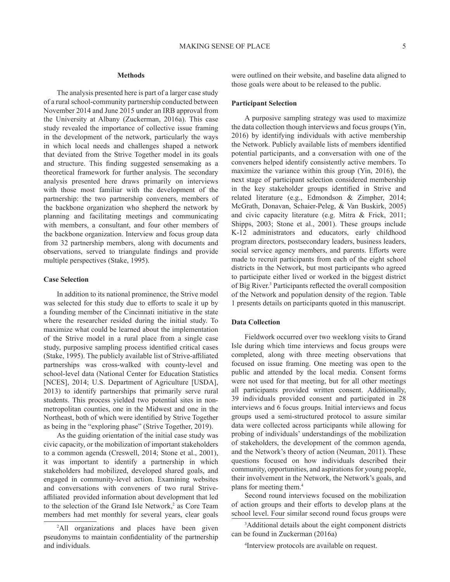#### **Methods**

The analysis presented here is part of a larger case study of a rural school-community partnership conducted between November 2014 and June 2015 under an IRB approval from the University at Albany (Zuckerman, 2016a). This case study revealed the importance of collective issue framing in the development of the network, particularly the ways in which local needs and challenges shaped a network that deviated from the Strive Together model in its goals and structure. This finding suggested sensemaking as a theoretical framework for further analysis. The secondary analysis presented here draws primarily on interviews with those most familiar with the development of the partnership: the two partnership conveners, members of the backbone organization who shepherd the network by planning and facilitating meetings and communicating with members, a consultant, and four other members of the backbone organization. Interview and focus group data from 32 partnership members, along with documents and observations, served to triangulate findings and provide multiple perspectives (Stake, 1995).

#### **Case Selection**

In addition to its national prominence, the Strive model was selected for this study due to efforts to scale it up by a founding member of the Cincinnati initiative in the state where the researcher resided during the initial study. To maximize what could be learned about the implementation of the Strive model in a rural place from a single case study, purposive sampling process identified critical cases (Stake, 1995). The publicly available list of Strive-affiliated partnerships was cross-walked with county-level and school-level data (National Center for Education Statistics [NCES], 2014; U.S. Department of Agriculture [USDA], 2013) to identify partnerships that primarily serve rural students. This process yielded two potential sites in nonmetropolitan counties, one in the Midwest and one in the Northeast, both of which were identified by Strive Together as being in the "exploring phase" (Strive Together, 2019).

As the guiding orientation of the initial case study was civic capacity, or the mobilization of important stakeholders to a common agenda (Creswell, 2014; Stone et al., 2001), it was important to identify a partnership in which stakeholders had mobilized, developed shared goals, and engaged in community-level action. Examining websites and conversations with conveners of two rural Striveaffiliated provided information about development that led to the selection of the Grand Isle Network,<sup>2</sup> as Core Team members had met monthly for several years, clear goals

were outlined on their website, and baseline data aligned to those goals were about to be released to the public.

#### **Participant Selection**

A purposive sampling strategy was used to maximize the data collection though interviews and focus groups (Yin, 2016) by identifying individuals with active membership the Network. Publicly available lists of members identified potential participants, and a conversation with one of the conveners helped identify consistently active members. To maximize the variance within this group (Yin, 2016), the next stage of participant selection considered membership in the key stakeholder groups identified in Strive and related literature (e.g., Edmondson & Zimpher, 2014; McGrath, Donavan, Schaier-Peleg, & Van Buskirk, 2005) and civic capacity literature (e.g. Mitra & Frick, 2011; Shipps, 2003; Stone et al., 2001). These groups include K-12 administrators and educators, early childhood program directors, postsecondary leaders, business leaders, social service agency members, and parents. Efforts were made to recruit participants from each of the eight school districts in the Network, but most participants who agreed to participate either lived or worked in the biggest district of Big River.<sup>3</sup> Participants reflected the overall composition of the Network and population density of the region. Table 1 presents details on participants quoted in this manuscript.

#### **Data Collection**

Fieldwork occurred over two weeklong visits to Grand Isle during which time interviews and focus groups were completed, along with three meeting observations that focused on issue framing. One meeting was open to the public and attended by the local media. Consent forms were not used for that meeting, but for all other meetings all participants provided written consent. Additionally, 39 individuals provided consent and participated in 28 interviews and 6 focus groups. Initial interviews and focus groups used a semi-structured protocol to assure similar data were collected across participants while allowing for probing of individuals' understandings of the mobilization of stakeholders, the development of the common agenda, and the Network's theory of action (Neuman, 2011). These questions focused on how individuals described their community, opportunities, and aspirations for young people, their involvement in the Network, the Network's goals, and plans for meeting them.4

Second round interviews focused on the mobilization of action groups and their efforts to develop plans at the school level. Four similar second round focus groups were

3 Additional details about the eight component districts can be found in Zuckerman (2016a)

4 Interview protocols are available on request.

<sup>2</sup> All organizations and places have been given pseudonyms to maintain confidentiality of the partnership and individuals.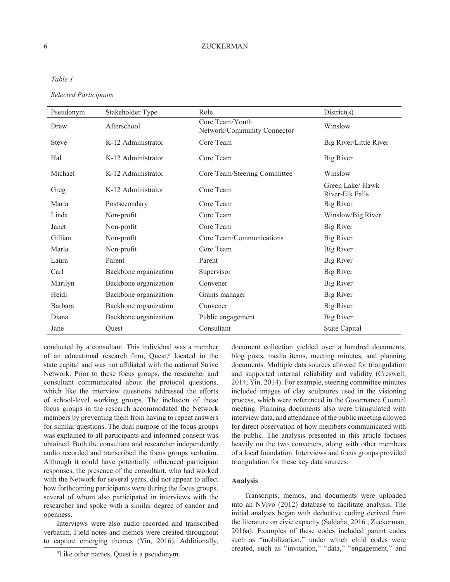*Table 1* 

*Selected Participants* 

| Pseudonym    | Stakeholder Type      | Role                                           | District(s)                        |
|--------------|-----------------------|------------------------------------------------|------------------------------------|
| Drew         | Afterschool           | Core Team/Youth<br>Network/Community Connector | Winslow                            |
| <b>Steve</b> | K-12 Administrator    | Core Team                                      | Big River/Little River             |
| Hal          | K-12 Administrator    | Core Team                                      | <b>Big River</b>                   |
| Michael      | K-12 Administrator    | Core Team/Steering Committee                   | Winslow                            |
| Greg         | K-12 Administrator    | Core Team                                      | Green Lake/Hawk<br>River-Elk Falls |
| Maria        | Postsecondary         | Core Team                                      | <b>Big River</b>                   |
| Linda        | Non-profit            | Core Team                                      | Winslow/Big River                  |
| Janet        | Non-profit            | Core Team                                      | <b>Big River</b>                   |
| Gillian      | Non-profit            | Core Team/Communications                       | <b>Big River</b>                   |
| Marla        | Non-profit            | Core Team                                      | Big River                          |
| Laura        | Parent                | Parent                                         | <b>Big River</b>                   |
| Carl         | Backbone organization | Supervisor                                     | <b>Big River</b>                   |
| Marilyn      | Backbone organization | Convener                                       | <b>Big River</b>                   |
| Heidi        | Backbone organization | Grants manager                                 | Big River                          |
| Barbara      | Backbone organization | Convener                                       | Big River                          |
| Diana        | Backbone organization | Public engagement                              | Big River                          |
| Jane         | Ouest                 | Consultant                                     | State Capital                      |

conducted by a consultant. This individual was a member of an educational research firm, Quest,<sup>5</sup> located in the state capital and was not affiliated with the national Strive Network. Prior to these focus groups, the researcher and consultant communicated about the protocol questions, which like the interview questions addressed the efforts of school-level working groups. The inclusion of these focus groups in the research accommodated the Network members by preventing them from having to repeat answers for similar questions. The dual purpose of the focus groups was explained to all participants and informed consent was obtained. Both the consultant and researcher independently audio recorded and transcribed the focus groups verbatim. Although it could have potentially influenced participant responses, the presence of the consultant, who had worked with the Network for several years, did not appear to affect how forthcoming participants were during the focus groups, several of whom also participated in interviews with the researcher and spoke with a similar degree of candor and openness.

Interviews were also audio recorded and transcribed verbatim. Field notes and memos were created throughout to capture emerging themes (Yin, 2016). Additionally, document collection yielded over a hundred documents, blog posts, media items, meeting minutes, and planning documents. Multiple data sources allowed for triangulation and supported internal reliability and validity (Creswell, 2014; Yin, 2014). For example, steering committee minutes included images of clay sculptures used in the visioning process, which were referenced in the Governance Council meeting. Planning documents also were triangulated with interview data, and attendance of the public meeting allowed for direct observation of how members communicated with the public. The analysis presented in this article focuses heavily on the two conveners, along with other members of a local foundation. Interviews and focus groups provided triangulation for these key data sources.

#### **Analysis**

Transcripts, memos, and documents were uploaded into an NVivo (2012) database to facilitate analysis. The initial analysis began with deductive coding derived from the literature on civic capacity (Saldaña, 2016 ; Zuckerman, 2016a). Examples of these codes included parent codes such as "mobilization," under which child codes were created, such as "invitation," "data," "engagement," and

<sup>5</sup> Like other names, Quest is a pseudonym.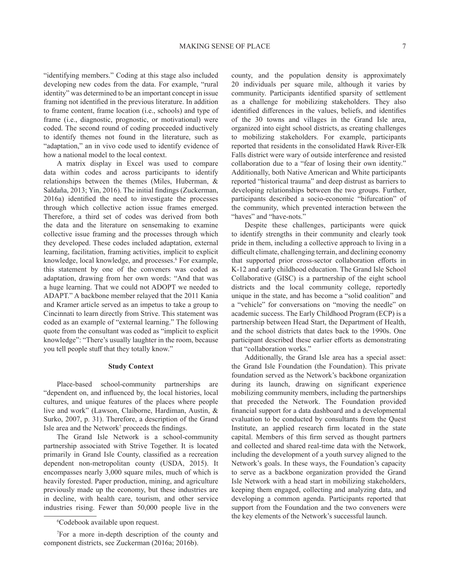"identifying members." Coding at this stage also included developing new codes from the data. For example, "rural identity" was determined to be an important concept in issue framing not identified in the previous literature. In addition to frame content, frame location (i.e., schools) and type of frame (i.e., diagnostic, prognostic, or motivational) were coded. The second round of coding proceeded inductively to identify themes not found in the literature, such as "adaptation," an in vivo code used to identify evidence of how a national model to the local context.

A matrix display in Excel was used to compare data within codes and across participants to identify relationships between the themes (Miles, Huberman, & Saldaña, 2013; Yin, 2016). The initial findings (Zuckerman, 2016a) identified the need to investigate the processes through which collective action issue frames emerged. Therefore, a third set of codes was derived from both the data and the literature on sensemaking to examine collective issue framing and the processes through which they developed. These codes included adaptation, external learning, facilitation, framing activities, implicit to explicit knowledge, local knowledge, and processes.<sup>6</sup> For example, this statement by one of the conveners was coded as adaptation, drawing from her own words: "And that was a huge learning. That we could not ADOPT we needed to ADAPT." A backbone member relayed that the 2011 Kania and Kramer article served as an impetus to take a group to Cincinnati to learn directly from Strive. This statement was coded as an example of "external learning." The following quote from the consultant was coded as "implicit to explicit knowledge": "There's usually laughter in the room, because you tell people stuff that they totally know."

#### **Study Context**

Place-based school-community partnerships are "dependent on, and influenced by, the local histories, local cultures, and unique features of the places where people live and work" (Lawson, Claiborne, Hardiman, Austin, & Surko, 2007, p. 31). Therefore, a description of the Grand Isle area and the Network<sup>7</sup> proceeds the findings.

The Grand Isle Network is a school-community partnership associated with Strive Together. It is located primarily in Grand Isle County, classified as a recreation dependent non-metropolitan county (USDA, 2015). It encompasses nearly 3,000 square miles, much of which is heavily forested. Paper production, mining, and agriculture previously made up the economy, but these industries are in decline, with health care, tourism, and other service industries rising. Fewer than 50,000 people live in the

county, and the population density is approximately 20 individuals per square mile, although it varies by community. Participants identified sparsity of settlement as a challenge for mobilizing stakeholders. They also identified differences in the values, beliefs, and identifies of the 30 towns and villages in the Grand Isle area, organized into eight school districts, as creating challenges to mobilizing stakeholders. For example, participants reported that residents in the consolidated Hawk River-Elk Falls district were wary of outside interference and resisted collaboration due to a "fear of losing their own identity." Additionally, both Native American and White participants reported "historical trauma" and deep distrust as barriers to developing relationships between the two groups. Further, participants described a socio-economic "bifurcation" of the community, which prevented interaction between the "haves" and "have-nots."

Despite these challenges, participants were quick to identify strengths in their community and clearly took pride in them, including a collective approach to living in a difficult climate, challenging terrain, and declining economy that supported prior cross-sector collaboration efforts in K-12 and early childhood education. The Grand Isle School Collaborative (GISC) is a partnership of the eight school districts and the local community college, reportedly unique in the state, and has become a "solid coalition" and a "vehicle" for conversations on "moving the needle" on academic success. The Early Childhood Program (ECP) is a partnership between Head Start, the Department of Health, and the school districts that dates back to the 1990s. One participant described these earlier efforts as demonstrating that "collaboration works."

Additionally, the Grand Isle area has a special asset: the Grand Isle Foundation (the Foundation). This private foundation served as the Network's backbone organization during its launch, drawing on significant experience mobilizing community members, including the partnerships that preceded the Network. The Foundation provided financial support for a data dashboard and a developmental evaluation to be conducted by consultants from the Quest Institute, an applied research firm located in the state capital. Members of this firm served as thought partners and collected and shared real-time data with the Network, including the development of a youth survey aligned to the Network's goals. In these ways, the Foundation's capacity to serve as a backbone organization provided the Grand Isle Network with a head start in mobilizing stakeholders, keeping them engaged, collecting and analyzing data, and developing a common agenda. Participants reported that support from the Foundation and the two conveners were the key elements of the Network's successful launch.

<sup>6</sup> Codebook available upon request.

<sup>7</sup> For a more in-depth description of the county and component districts, see Zuckerman (2016a; 2016b).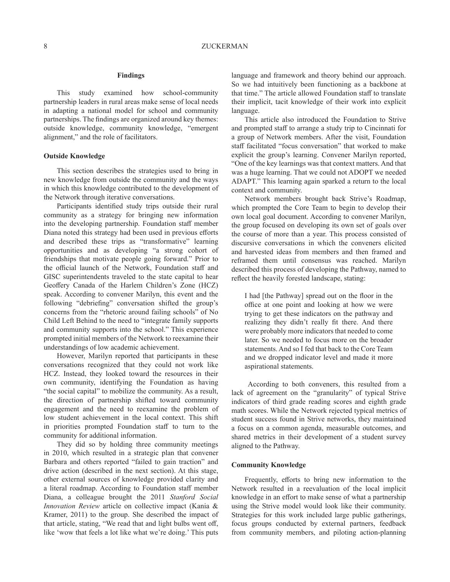#### **Findings**

This study examined how school-community partnership leaders in rural areas make sense of local needs in adapting a national model for school and community partnerships. The findings are organized around key themes: outside knowledge, community knowledge, "emergent alignment," and the role of facilitators.

#### **Outside Knowledge**

This section describes the strategies used to bring in new knowledge from outside the community and the ways in which this knowledge contributed to the development of the Network through iterative conversations.

Participants identified study trips outside their rural community as a strategy for bringing new information into the developing partnership. Foundation staff member Diana noted this strategy had been used in previous efforts and described these trips as "transformative" learning opportunities and as developing "a strong cohort of friendships that motivate people going forward." Prior to the official launch of the Network, Foundation staff and GISC superintendents traveled to the state capital to hear Geoffery Canada of the Harlem Children's Zone (HCZ) speak. According to convener Marilyn, this event and the following "debriefing" conversation shifted the group's concerns from the "rhetoric around failing schools" of No Child Left Behind to the need to "integrate family supports and community supports into the school." This experience prompted initial members of the Network to reexamine their understandings of low academic achievement.

However, Marilyn reported that participants in these conversations recognized that they could not work like HCZ. Instead, they looked toward the resources in their own community, identifying the Foundation as having "the social capital" to mobilize the community. As a result, the direction of partnership shifted toward community engagement and the need to reexamine the problem of low student achievement in the local context. This shift in priorities prompted Foundation staff to turn to the community for additional information.

They did so by holding three community meetings in 2010, which resulted in a strategic plan that convener Barbara and others reported "failed to gain traction" and drive action (described in the next section). At this stage, other external sources of knowledge provided clarity and a literal roadmap. According to Foundation staff member Diana, a colleague brought the 2011 *Stanford Social Innovation Review* article on collective impact (Kania & Kramer, 2011) to the group. She described the impact of that article, stating, "We read that and light bulbs went off, like 'wow that feels a lot like what we're doing.' This puts

language and framework and theory behind our approach. So we had intuitively been functioning as a backbone at that time." The article allowed Foundation staff to translate their implicit, tacit knowledge of their work into explicit language.

This article also introduced the Foundation to Strive and prompted staff to arrange a study trip to Cincinnati for a group of Network members. After the visit, Foundation staff facilitated "focus conversation" that worked to make explicit the group's learning. Convener Marilyn reported, "One of the key learnings was that context matters. And that was a huge learning. That we could not ADOPT we needed ADAPT." This learning again sparked a return to the local context and community.

Network members brought back Strive's Roadmap, which prompted the Core Team to begin to develop their own local goal document. According to convener Marilyn, the group focused on developing its own set of goals over the course of more than a year. This process consisted of discursive conversations in which the conveners elicited and harvested ideas from members and then framed and reframed them until consensus was reached. Marilyn described this process of developing the Pathway, named to reflect the heavily forested landscape, stating:

I had [the Pathway] spread out on the floor in the office at one point and looking at how we were trying to get these indicators on the pathway and realizing they didn't really fit there. And there were probably more indicators that needed to come later. So we needed to focus more on the broader statements. And so I fed that back to the Core Team and we dropped indicator level and made it more aspirational statements.

 According to both conveners, this resulted from a lack of agreement on the "granularity" of typical Strive indicators of third grade reading scores and eighth grade math scores. While the Network rejected typical metrics of student success found in Strive networks, they maintained a focus on a common agenda, measurable outcomes, and shared metrics in their development of a student survey aligned to the Pathway.

#### **Community Knowledge**

Frequently, efforts to bring new information to the Network resulted in a reevaluation of the local implicit knowledge in an effort to make sense of what a partnership using the Strive model would look like their community. Strategies for this work included large public gatherings, focus groups conducted by external partners, feedback from community members, and piloting action-planning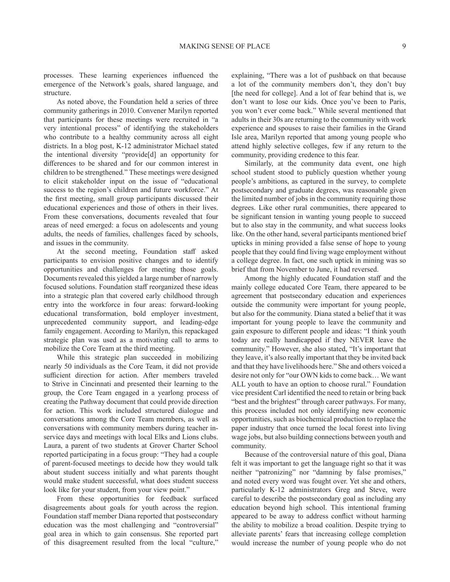processes. These learning experiences influenced the emergence of the Network's goals, shared language, and structure.

As noted above, the Foundation held a series of three community gatherings in 2010. Convener Marilyn reported that participants for these meetings were recruited in "a very intentional process" of identifying the stakeholders who contribute to a healthy community across all eight districts. In a blog post, K-12 administrator Michael stated the intentional diversity "provide[d] an opportunity for differences to be shared and for our common interest in children to be strengthened." These meetings were designed to elicit stakeholder input on the issue of "educational success to the region's children and future workforce." At the first meeting, small group participants discussed their educational experiences and those of others in their lives. From these conversations, documents revealed that four areas of need emerged: a focus on adolescents and young adults, the needs of families, challenges faced by schools, and issues in the community.

At the second meeting, Foundation staff asked participants to envision positive changes and to identify opportunities and challenges for meeting those goals. Documents revealed this yielded a large number of narrowly focused solutions. Foundation staff reorganized these ideas into a strategic plan that covered early childhood through entry into the workforce in four areas: forward-looking educational transformation, bold employer investment, unprecedented community support, and leading-edge family engagement. According to Marilyn, this repackaged strategic plan was used as a motivating call to arms to mobilize the Core Team at the third meeting.

While this strategic plan succeeded in mobilizing nearly 50 individuals as the Core Team, it did not provide sufficient direction for action. After members traveled to Strive in Cincinnati and presented their learning to the group, the Core Team engaged in a yearlong process of creating the Pathway document that could provide direction for action. This work included structured dialogue and conversations among the Core Team members, as well as conversations with community members during teacher inservice days and meetings with local Elks and Lions clubs. Laura, a parent of two students at Grover Charter School reported participating in a focus group: "They had a couple of parent-focused meetings to decide how they would talk about student success initially and what parents thought would make student successful, what does student success look like for your student, from your view point."

From these opportunities for feedback surfaced disagreements about goals for youth across the region. Foundation staff member Diana reported that postsecondary education was the most challenging and "controversial" goal area in which to gain consensus. She reported part of this disagreement resulted from the local "culture," explaining, "There was a lot of pushback on that because a lot of the community members don't, they don't buy [the need for college]. And a lot of fear behind that is, we don't want to lose our kids. Once you've been to Paris, you won't ever come back." While several mentioned that adults in their 30s are returning to the community with work experience and spouses to raise their families in the Grand Isle area, Marilyn reported that among young people who attend highly selective colleges, few if any return to the community, providing credence to this fear.

Similarly, at the community data event, one high school student stood to publicly question whether young people's ambitions, as captured in the survey, to complete postsecondary and graduate degrees, was reasonable given the limited number of jobs in the community requiring those degrees. Like other rural communities, there appeared to be significant tension in wanting young people to succeed but to also stay in the community, and what success looks like. On the other hand, several participants mentioned brief upticks in mining provided a false sense of hope to young people that they could find living wage employment without a college degree. In fact, one such uptick in mining was so brief that from November to June, it had reversed.

Among the highly educated Foundation staff and the mainly college educated Core Team, there appeared to be agreement that postsecondary education and experiences outside the community were important for young people, but also for the community. Diana stated a belief that it was important for young people to leave the community and gain exposure to different people and ideas: "I think youth today are really handicapped if they NEVER leave the community." However, she also stated, "It's important that they leave, it's also really important that they be invited back and that they have livelihoods here." She and others voiced a desire not only for "our OWN kids to come back… We want ALL youth to have an option to choose rural." Foundation vice president Carl identified the need to retain or bring back "best and the brightest" through career pathways. For many, this process included not only identifying new economic opportunities, such as biochemical production to replace the paper industry that once turned the local forest into living wage jobs, but also building connections between youth and community.

Because of the controversial nature of this goal, Diana felt it was important to get the language right so that it was neither "patronizing" nor "damning by false promises," and noted every word was fought over. Yet she and others, particularly K-12 administrators Greg and Steve, were careful to describe the postsecondary goal as including any education beyond high school. This intentional framing appeared to be away to address conflict without harming the ability to mobilize a broad coalition. Despite trying to alleviate parents' fears that increasing college completion would increase the number of young people who do not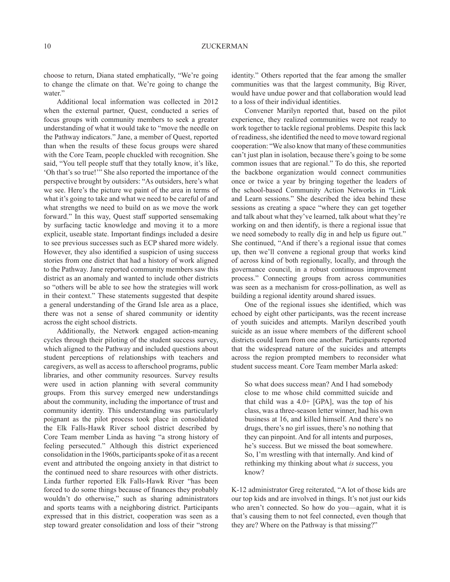choose to return, Diana stated emphatically, "We're going to change the climate on that. We're going to change the water."

Additional local information was collected in 2012 when the external partner, Quest, conducted a series of focus groups with community members to seek a greater understanding of what it would take to "move the needle on the Pathway indicators." Jane, a member of Quest, reported than when the results of these focus groups were shared with the Core Team, people chuckled with recognition. She said, "You tell people stuff that they totally know, it's like, 'Oh that's so true!'" She also reported the importance of the perspective brought by outsiders: "As outsiders, here's what we see. Here's the picture we paint of the area in terms of what it's going to take and what we need to be careful of and what strengths we need to build on as we move the work forward." In this way, Quest staff supported sensemaking by surfacing tactic knowledge and moving it to a more explicit, useable state. Important findings included a desire to see previous successes such as ECP shared more widely. However, they also identified a suspicion of using success stories from one district that had a history of work aligned to the Pathway. Jane reported community members saw this district as an anomaly and wanted to include other districts so "others will be able to see how the strategies will work in their context." These statements suggested that despite a general understanding of the Grand Isle area as a place, there was not a sense of shared community or identity across the eight school districts.

Additionally, the Network engaged action-meaning cycles through their piloting of the student success survey, which aligned to the Pathway and included questions about student perceptions of relationships with teachers and caregivers, as well as access to afterschool programs, public libraries, and other community resources. Survey results were used in action planning with several community groups. From this survey emerged new understandings about the community, including the importance of trust and community identity. This understanding was particularly poignant as the pilot process took place in consolidated the Elk Falls-Hawk River school district described by Core Team member Linda as having "a strong history of feeling persecuted." Although this district experienced consolidation in the 1960s, participants spoke of it as a recent event and attributed the ongoing anxiety in that district to the continued need to share resources with other districts. Linda further reported Elk Falls-Hawk River "has been forced to do some things because of finances they probably wouldn't do otherwise," such as sharing administrators and sports teams with a neighboring district. Participants expressed that in this district, cooperation was seen as a step toward greater consolidation and loss of their "strong

identity." Others reported that the fear among the smaller communities was that the largest community, Big River, would have undue power and that collaboration would lead to a loss of their individual identities.

Convener Marilyn reported that, based on the pilot experience, they realized communities were not ready to work together to tackle regional problems. Despite this lack of readiness, she identified the need to move toward regional cooperation: "We also know that many of these communities can't just plan in isolation, because there's going to be some common issues that are regional." To do this, she reported the backbone organization would connect communities once or twice a year by bringing together the leaders of the school-based Community Action Networks in "Link and Learn sessions." She described the idea behind these sessions as creating a space "where they can get together and talk about what they've learned, talk about what they're working on and then identify, is there a regional issue that we need somebody to really dig in and help us figure out." She continued, "And if there's a regional issue that comes up, then we'll convene a regional group that works kind of across kind of both regionally, locally, and through the governance council, in a robust continuous improvement process." Connecting groups from across communities was seen as a mechanism for cross-pollination, as well as building a regional identity around shared issues.

One of the regional issues she identified, which was echoed by eight other participants, was the recent increase of youth suicides and attempts. Marilyn described youth suicide as an issue where members of the different school districts could learn from one another. Participants reported that the widespread nature of the suicides and attempts across the region prompted members to reconsider what student success meant. Core Team member Marla asked:

So what does success mean? And I had somebody close to me whose child committed suicide and that child was a  $4.0+$  [GPA], was the top of his class, was a three-season letter winner, had his own business at 16, and killed himself. And there's no drugs, there's no girl issues, there's no nothing that they can pinpoint. And for all intents and purposes, he's success. But we missed the boat somewhere. So, I'm wrestling with that internally. And kind of rethinking my thinking about what *is* success, you know?

K-12 administrator Greg reiterated, "A lot of those kids are our top kids and are involved in things. It's not just our kids who aren't connected. So how do you—again, what it is that's causing them to not feel connected, even though that they are? Where on the Pathway is that missing?"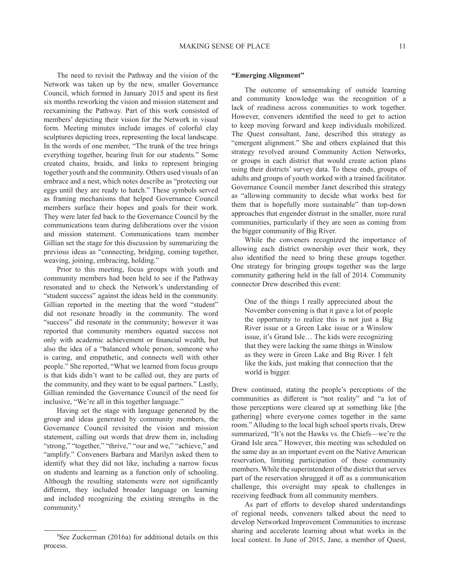The need to revisit the Pathway and the vision of the Network was taken up by the new, smaller Governance Council, which formed in January 2015 and spent its first six months reworking the vision and mission statement and reexamining the Pathway. Part of this work consisted of members' depicting their vision for the Network in visual form. Meeting minutes include images of colorful clay sculptures depicting trees, representing the local landscape. In the words of one member, "The trunk of the tree brings everything together, bearing fruit for our students." Some created chains, braids, and links to represent bringing together youth and the community. Others used visuals of an embrace and a nest, which notes describe as "protecting our eggs until they are ready to hatch." These symbols served as framing mechanisms that helped Governance Council members surface their hopes and goals for their work. They were later fed back to the Governance Council by the communications team during deliberations over the vision and mission statement. Communications team member Gillian set the stage for this discussion by summarizing the previous ideas as "connecting, bridging, coming together, weaving, joining, embracing, holding."

Prior to this meeting, focus groups with youth and community members had been held to see if the Pathway resonated and to check the Network's understanding of "student success" against the ideas held in the community. Gillian reported in the meeting that the word "student" did not resonate broadly in the community. The word "success" did resonate in the community; however it was reported that community members equated success not only with academic achievement or financial wealth, but also the idea of a "balanced whole person, someone who is caring, and empathetic, and connects well with other people." She reported, "What we learned from focus groups is that kids didn't want to be called out, they are parts of the community, and they want to be equal partners." Lastly, Gillian reminded the Governance Council of the need for inclusive, "We're all in this together language."

Having set the stage with language generated by the group and ideas generated by community members, the Governance Council revisited the vision and mission statement, calling out words that drew them in, including "strong," "together," "thrive," "our and we," "achieve," and "amplify." Conveners Barbara and Marilyn asked them to identify what they did not like, including a narrow focus on students and learning as a function only of schooling. Although the resulting statements were not significantly different, they included broader language on learning and included recognizing the existing strengths in the community.<sup>8</sup>

#### **"Emerging Alignment"**

The outcome of sensemaking of outside learning and community knowledge was the recognition of a lack of readiness across communities to work together. However, conveners identified the need to get to action to keep moving forward and keep individuals mobilized. The Quest consultant, Jane, described this strategy as "emergent alignment." She and others explained that this strategy revolved around Community Action Networks, or groups in each district that would create action plans using their districts' survey data. To these ends, groups of adults and groups of youth worked with a trained facilitator. Governance Council member Janet described this strategy as "allowing community to decide what works best for them that is hopefully more sustainable" than top-down approaches that engender distrust in the smaller, more rural communities, particularly if they are seen as coming from the bigger community of Big River.

While the conveners recognized the importance of allowing each district ownership over their work, they also identified the need to bring these groups together. One strategy for bringing groups together was the large community gathering held in the fall of 2014. Community connector Drew described this event:

One of the things I really appreciated about the November convening is that it gave a lot of people the opportunity to realize this is not just a Big River issue or a Green Lake issue or a Winslow issue, it's Grand Isle… The kids were recognizing that they were lacking the same things in Winslow as they were in Green Lake and Big River. I felt like the kids, just making that connection that the world is bigger.

Drew continued, stating the people's perceptions of the communities as different is "not reality" and "a lot of those perceptions were cleared up at something like [the gathering] where everyone comes together in the same room." Alluding to the local high school sports rivals, Drew summarized, "It's not the Hawks vs. the Chiefs—we're the Grand Isle area." However, this meeting was scheduled on the same day as an important event on the Native American reservation, limiting participation of these community members. While the superintendent of the district that serves part of the reservation shrugged it off as a communication challenge, this oversight may speak to challenges in receiving feedback from all community members.

As part of efforts to develop shared understandings of regional needs, conveners talked about the need to develop Networked Improvement Communities to increase sharing and accelerate learning about what works in the local context. In June of 2015, Jane, a member of Quest,

<sup>8</sup> See Zuckerman (2016a) for additional details on this process.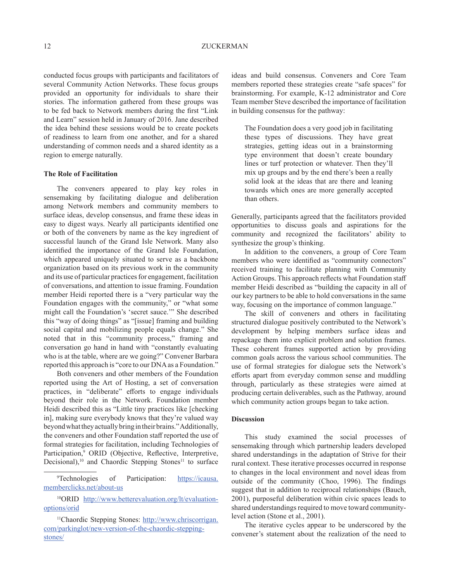conducted focus groups with participants and facilitators of several Community Action Networks. These focus groups provided an opportunity for individuals to share their stories. The information gathered from these groups was to be fed back to Network members during the first "Link and Learn" session held in January of 2016. Jane described the idea behind these sessions would be to create pockets of readiness to learn from one another, and for a shared understanding of common needs and a shared identity as a region to emerge naturally.

#### **The Role of Facilitation**

The conveners appeared to play key roles in sensemaking by facilitating dialogue and deliberation among Network members and community members to surface ideas, develop consensus, and frame these ideas in easy to digest ways. Nearly all participants identified one or both of the conveners by name as the key ingredient of successful launch of the Grand Isle Network. Many also identified the importance of the Grand Isle Foundation, which appeared uniquely situated to serve as a backbone organization based on its previous work in the community and its use of particular practices for engagement, facilitation of conversations, and attention to issue framing. Foundation member Heidi reported there is a "very particular way the Foundation engages with the community," or "what some might call the Foundation's 'secret sauce.'" She described this "way of doing things" as "[issue] framing and building social capital and mobilizing people equals change." She noted that in this "community process," framing and conversation go hand in hand with "constantly evaluating who is at the table, where are we going?" Convener Barbara reported this approach is "core to our DNA as a Foundation."

Both conveners and other members of the Foundation reported using the Art of Hosting, a set of conversation practices, in "deliberate" efforts to engage individuals beyond their role in the Network. Foundation member Heidi described this as "Little tiny practices like [checking in], making sure everybody knows that they're valued way beyond what they actually bring in their brains." Additionally, the conveners and other Foundation staff reported the use of formal strategies for facilitation, including Technologies of Participation,<sup>9</sup> ORID (Objective, Reflective, Interpretive, Decisional),<sup>10</sup> and Chaordic Stepping Stones<sup>11</sup> to surface

<sup>9</sup>Technologies of Participation: https://icausa. memberclicks.net/about-us

10ORID http://www.betterevaluation.org/lt/evaluationoptions/orid

ideas and build consensus. Conveners and Core Team members reported these strategies create "safe spaces" for brainstorming. For example, K-12 administrator and Core Team member Steve described the importance of facilitation in building consensus for the pathway:

The Foundation does a very good job in facilitating these types of discussions. They have great strategies, getting ideas out in a brainstorming type environment that doesn't create boundary lines or turf protection or whatever. Then they'll mix up groups and by the end there's been a really solid look at the ideas that are there and leaning towards which ones are more generally accepted than others.

Generally, participants agreed that the facilitators provided opportunities to discuss goals and aspirations for the community and recognized the facilitators' ability to synthesize the group's thinking.

In addition to the conveners, a group of Core Team members who were identified as "community connectors" received training to facilitate planning with Community Action Groups. This approach reflects what Foundation staff member Heidi described as "building the capacity in all of our key partners to be able to hold conversations in the same way, focusing on the importance of common language."

The skill of conveners and others in facilitating structured dialogue positively contributed to the Network's development by helping members surface ideas and repackage them into explicit problem and solution frames. These coherent frames supported action by providing common goals across the various school communities. The use of formal strategies for dialogue sets the Network's efforts apart from everyday common sense and muddling through, particularly as these strategies were aimed at producing certain deliverables, such as the Pathway*,* around which community action groups began to take action.

#### **Discussion**

This study examined the social processes of sensemaking through which partnership leaders developed shared understandings in the adaptation of Strive for their rural context. These iterative processes occurred in response to changes in the local environment and novel ideas from outside of the community (Choo, 1996). The findings suggest that in addition to reciprocal relationships (Bauch, 2001), purposeful deliberation within civic spaces leads to shared understandings required to move toward communitylevel action (Stone et al., 2001).

The iterative cycles appear to be underscored by the convener's statement about the realization of the need to

<sup>11</sup>Chaordic Stepping Stones: http://www.chriscorrigan. com/parkinglot/new-version-of-the-chaordic-steppingstones/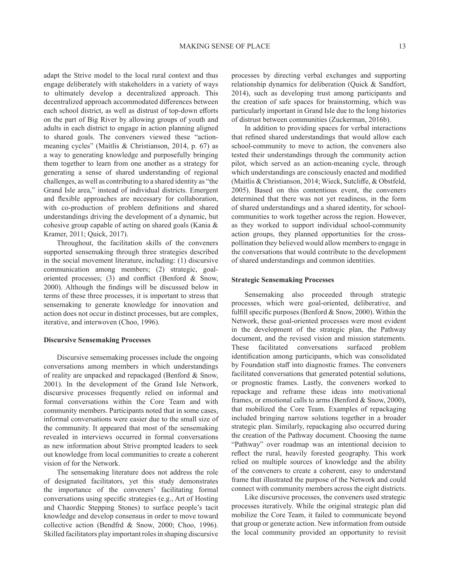adapt the Strive model to the local rural context and thus engage deliberately with stakeholders in a variety of ways to ultimately develop a decentralized approach. This decentralized approach accommodated differences between each school district, as well as distrust of top-down efforts on the part of Big River by allowing groups of youth and adults in each district to engage in action planning aligned to shared goals. The conveners viewed these "actionmeaning cycles" (Maitlis & Christianson, 2014, p. 67) as a way to generating knowledge and purposefully bringing them together to learn from one another as a strategy for generating a sense of shared understanding of regional challenges, as well as contributing to a shared identity as "the Grand Isle area," instead of individual districts. Emergent and flexible approaches are necessary for collaboration, with co-production of problem definitions and shared understandings driving the development of a dynamic, but cohesive group capable of acting on shared goals (Kania & Kramer, 2011; Quick, 2017).

Throughout, the facilitation skills of the conveners supported sensemaking through three strategies described in the social movement literature, including: (1) discursive communication among members; (2) strategic, goaloriented processes; (3) and conflict (Benford  $\&$  Snow, 2000). Although the findings will be discussed below in terms of these three processes, it is important to stress that sensemaking to generate knowledge for innovation and action does not occur in distinct processes, but are complex, iterative, and interwoven (Choo, 1996).

#### **Discursive Sensemaking Processes**

Discursive sensemaking processes include the ongoing conversations among members in which understandings of reality are unpacked and repackaged (Benford & Snow, 2001). In the development of the Grand Isle Network, discursive processes frequently relied on informal and formal conversations within the Core Team and with community members. Participants noted that in some cases, informal conversations were easier due to the small size of the community. It appeared that most of the sensemaking revealed in interviews occurred in formal conversations as new information about Strive prompted leaders to seek out knowledge from local communities to create a coherent vision of for the Network.

The sensemaking literature does not address the role of designated facilitators, yet this study demonstrates the importance of the conveners' facilitating formal conversations using specific strategies (e.g., Art of Hosting and Chaordic Stepping Stones) to surface people's tacit knowledge and develop consensus in order to move toward collective action (Bendfrd & Snow, 2000; Choo, 1996). Skilled facilitators play important roles in shaping discursive processes by directing verbal exchanges and supporting relationship dynamics for deliberation (Quick & Sandfort, 2014), such as developing trust among participants and the creation of safe spaces for brainstorming, which was particularly important in Grand Isle due to the long histories of distrust between communities (Zuckerman, 2016b).

In addition to providing spaces for verbal interactions that refined shared understandings that would allow each school-community to move to action, the conveners also tested their understandings through the community action pilot, which served as an action-meaning cycle, through which understandings are consciously enacted and modified (Maitlis & Christianson, 2014; Wieck, Sutcliffe, & Obstfeld, 2005). Based on this contentious event, the conveners determined that there was not yet readiness, in the form of shared understandings and a shared identity, for schoolcommunities to work together across the region. However, as they worked to support individual school-community action groups, they planned opportunities for the crosspollination they believed would allow members to engage in the conversations that would contribute to the development of shared understandings and common identities.

#### **Strategic Sensemaking Processes**

Sensemaking also proceeded through strategic processes, which were goal-oriented, deliberative, and fulfill specific purposes (Benford  $&$  Snow, 2000). Within the Network, these goal-oriented processes were most evident in the development of the strategic plan, the Pathway document, and the revised vision and mission statements. These facilitated conversations surfaced problem identification among participants, which was consolidated by Foundation staff into diagnostic frames. The conveners facilitated conversations that generated potential solutions, or prognostic frames. Lastly, the conveners worked to repackage and reframe these ideas into motivational frames, or emotional calls to arms (Benford & Snow, 2000), that mobilized the Core Team. Examples of repackaging included bringing narrow solutions together in a broader strategic plan. Similarly, repackaging also occurred during the creation of the Pathway document. Choosing the name "Pathway" over roadmap was an intentional decision to reflect the rural, heavily forested geography. This work relied on multiple sources of knowledge and the ability of the conveners to create a coherent, easy to understand frame that illustrated the purpose of the Network and could connect with community members across the eight districts.

Like discursive processes, the conveners used strategic processes iteratively. While the original strategic plan did mobilize the Core Team, it failed to communicate beyond that group or generate action. New information from outside the local community provided an opportunity to revisit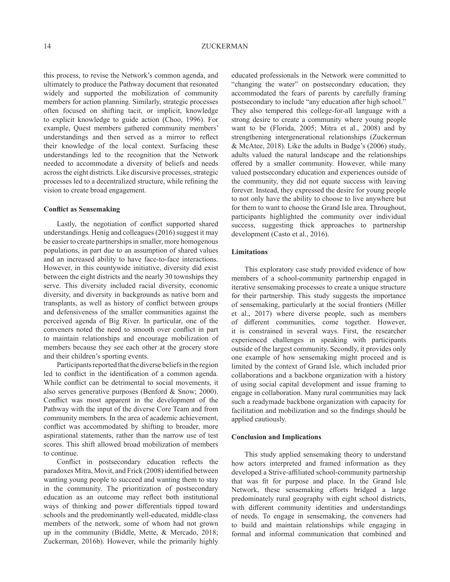this process, to revise the Network's common agenda, and ultimately to produce the Pathway document that resonated widely and supported the mobilization of community members for action planning. Similarly, strategic processes often focused on shifting tacit, or implicit, knowledge to explicit knowledge to guide action (Choo, 1996). For example, Quest members gathered community members' understandings and then served as a mirror to reflect their knowledge of the local context. Surfacing these understandings led to the recognition that the Network needed to accommodate a diversity of beliefs and needs across the eight districts. Like discursive processes, strategic processes led to a decentralized structure, while refining the vision to create broad engagement.

#### **Conflict as Sensemaking**

Lastly, the negotiation of conflict supported shared understandings. Henig and colleagues (2016) suggest it may be easier to create partnerships in smaller, more homogenous populations, in part due to an assumption of shared values and an increased ability to have face-to-face interactions. However, in this countywide initiative, diversity did exist between the eight districts and the nearly 30 townships they serve. This diversity included racial diversity, economic diversity, and diversity in backgrounds as native born and transplants, as well as history of conflict between groups and defensiveness of the smaller communities against the perceived agenda of Big River. In particular, one of the conveners noted the need to smooth over conflict in part to maintain relationships and encourage mobilization of members because they see each other at the grocery store and their children's sporting events.

Participants reported that the diverse beliefs in the region led to conflict in the identification of a common agenda. While conflict can be detrimental to social movements, it also serves generative purposes (Benford & Snow; 2000). Conflict was most apparent in the development of the Pathway with the input of the diverse Core Team and from community members. In the area of academic achievement, conflict was accommodated by shifting to broader, more aspirational statements, rather than the narrow use of test scores. This shift allowed broad mobilization of members to continue.

Conflict in postsecondary education reflects the paradoxes Mitra, Movit, and Frick (2008) identified between wanting young people to succeed and wanting them to stay in the community. The prioritization of postsecondary education as an outcome may reflect both institutional ways of thinking and power differentials tipped toward schools and the predominantly well-educated, middle-class members of the network, some of whom had not grown up in the community (Biddle, Mette, & Mercado, 2018; Zuckerman, 2016b). However, while the primarily highly

educated professionals in the Network were committed to "changing the water" on postsecondary education, they accommodated the fears of parents by carefully framing postsecondary to include "any education after high school." They also tempered this college-for-all language with a strong desire to create a community where young people want to be (Florida, 2005; Mitra et al., 2008) and by strengthening intergenerational relationships (Zuckerman & McAtee, 2018). Like the adults in Budge's (2006) study, adults valued the natural landscape and the relationships offered by a smaller community. However, while many valued postsecondary education and experiences outside of the community, they did not equate success with leaving forever. Instead, they expressed the desire for young people to not only have the ability to choose to live anywhere but for them to want to choose the Grand Isle area. Throughout, participants highlighted the community over individual success, suggesting thick approaches to partnership development (Casto et al., 2016).

#### **Limitations**

This exploratory case study provided evidence of how members of a school-community partnership engaged in iterative sensemaking processes to create a unique structure for their partnership. This study suggests the importance of sensemaking, particularly at the social frontiers (Miller et al., 2017) where diverse people, such as members of different communities, come together. However, it is constrained in several ways. First, the researcher experienced challenges in speaking with participants outside of the largest community. Secondly, it provides only one example of how sensemaking might proceed and is limited by the context of Grand Isle, which included prior collaborations and a backbone organization with a history of using social capital development and issue framing to engage in collaboration. Many rural communities may lack such a readymade backbone organization with capacity for facilitation and mobilization and so the findings should be applied cautiously.

#### **Conclusion and Implications**

This study applied sensemaking theory to understand how actors interpreted and framed information as they developed a Strive-affiliated school-community partnership that was fit for purpose and place. In the Grand Isle Network, these sensemaking efforts bridged a large predominately rural geography with eight school districts, with different community identities and understandings of needs. To engage in sensemaking, the conveners had to build and maintain relationships while engaging in formal and informal communication that combined and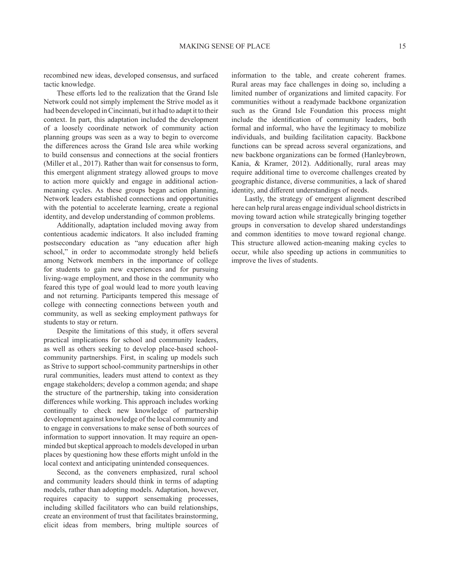recombined new ideas, developed consensus, and surfaced tactic knowledge.

These efforts led to the realization that the Grand Isle Network could not simply implement the Strive model as it had been developed in Cincinnati, but it had to adapt it to their context. In part, this adaptation included the development of a loosely coordinate network of community action planning groups was seen as a way to begin to overcome the differences across the Grand Isle area while working to build consensus and connections at the social frontiers (Miller et al., 2017). Rather than wait for consensus to form, this emergent alignment strategy allowed groups to move to action more quickly and engage in additional actionmeaning cycles. As these groups began action planning, Network leaders established connections and opportunities with the potential to accelerate learning, create a regional identity, and develop understanding of common problems.

Additionally, adaptation included moving away from contentious academic indicators. It also included framing postsecondary education as "any education after high school," in order to accommodate strongly held beliefs among Network members in the importance of college for students to gain new experiences and for pursuing living-wage employment, and those in the community who feared this type of goal would lead to more youth leaving and not returning. Participants tempered this message of college with connecting connections between youth and community, as well as seeking employment pathways for students to stay or return.

Despite the limitations of this study, it offers several practical implications for school and community leaders, as well as others seeking to develop place-based schoolcommunity partnerships. First, in scaling up models such as Strive to support school-community partnerships in other rural communities, leaders must attend to context as they engage stakeholders; develop a common agenda; and shape the structure of the partnership, taking into consideration differences while working. This approach includes working continually to check new knowledge of partnership development against knowledge of the local community and to engage in conversations to make sense of both sources of information to support innovation. It may require an openminded but skeptical approach to models developed in urban places by questioning how these efforts might unfold in the local context and anticipating unintended consequences.

Second, as the conveners emphasized, rural school and community leaders should think in terms of adapting models, rather than adopting models. Adaptation, however, requires capacity to support sensemaking processes, including skilled facilitators who can build relationships, create an environment of trust that facilitates brainstorming, elicit ideas from members, bring multiple sources of

information to the table, and create coherent frames. Rural areas may face challenges in doing so, including a limited number of organizations and limited capacity. For communities without a readymade backbone organization such as the Grand Isle Foundation this process might include the identification of community leaders, both formal and informal, who have the legitimacy to mobilize individuals, and building facilitation capacity. Backbone functions can be spread across several organizations, and new backbone organizations can be formed (Hanleybrown, Kania, & Kramer, 2012). Additionally, rural areas may require additional time to overcome challenges created by geographic distance, diverse communities, a lack of shared identity, and different understandings of needs.

Lastly, the strategy of emergent alignment described here can help rural areas engage individual school districts in moving toward action while strategically bringing together groups in conversation to develop shared understandings and common identities to move toward regional change. This structure allowed action-meaning making cycles to occur, while also speeding up actions in communities to improve the lives of students.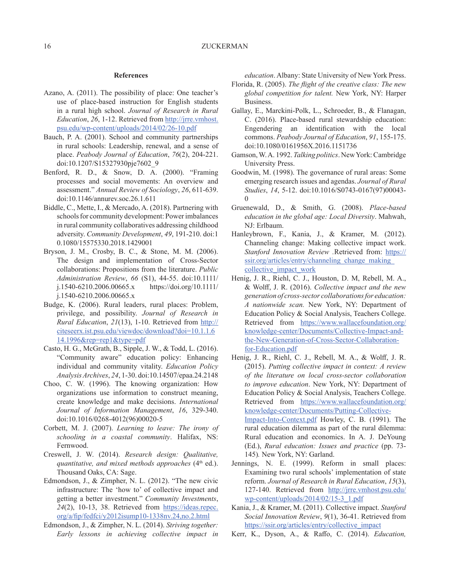#### **References**

- Azano, A. (2011). The possibility of place: One teacher's use of place-based instruction for English students in a rural high school. *Journal of Research in Rural Education*, *26*, 1-12. Retrieved from http://jrre.vmhost. psu.edu/wp-content/uploads/2014/02/26-10.pdf
- Bauch, P. A. (2001). School and community partnerships in rural schools: Leadership, renewal, and a sense of place. *Peabody Journal of Education*, *76*(2), 204-221. doi:10.1207/S15327930pje7602\_9
- Benford, R. D., & Snow, D. A. (2000). "Framing processes and social movements: An overview and assessment." *Annual Review of Sociology*, *26*, 611-639. doi:10.1146/annurev.soc.26.1.611
- Biddle, C., Mette, I., & Mercado, A. (2018). Partnering with schools for community development: Power imbalances in rural community collaboratives addressing childhood adversity. *Community Development*, *49*, 191-210. doi:1 0.1080/15575330.2018.1429001
- Bryson, J. M., Crosby, B. C., & Stone, M. M. (2006). The design and implementation of Cross‐Sector collaborations: Propositions from the literature. *Public Administration Review*, *66* (S1), 44-55. doi:10.1111/ j.1540-6210.2006.00665.x https://doi.org/10.1111/ j.1540-6210.2006.00665.x
- Budge, K. (2006). Rural leaders, rural places: Problem, privilege, and possibility. *Journal of Research in Rural Education*, *21*(13), 1-10. Retrieved from http:// citeseerx.ist.psu.edu/viewdoc/download?doi=10.1.1.6 14.1996&rep=rep1&type=pdf
- Casto, H. G., McGrath, B., Sipple, J. W., & Todd, L. (2016). "Community aware" education policy: Enhancing individual and community vitality. *Education Policy Analysis Archives*, *24*, 1-30. doi:10.14507/epaa.24.2148
- Choo, C. W. (1996). The knowing organization: How organizations use information to construct meaning, create knowledge and make decisions. *International Journal of Information Management*, *16*, 329-340. doi:10.1016/0268-4012(96)00020-5
- Corbett, M. J. (2007). *Learning to leave: The irony of schooling in a coastal community*. Halifax, NS: Fernwood.
- Creswell, J. W. (2014). *Research design: Qualitative, quantitative, and mixed methods approaches* (4<sup>th</sup> ed.). Thousand Oaks, CA: Sage.
- Edmondson, J., & Zimpher, N. L. (2012). "The new civic infrastructure: The 'how to' of collective impact and getting a better investment." *Community Investments*, *24*(2), 10-13, 38. Retrieved from https://ideas.repec.  $org/a/fip/fedfci/y2012isump10-1338nv.24,no.2.html$
- Edmondson, J., & Zimpher, N. L. (2014). *Striving together: Early lessons in achieving collective impact in*

*education*. Albany: State University of New York Press.

- Florida, R. (2005). *The flight of the creative class: The new global competition for talent.* New York, NY: Harper Business.
- Gallay, E., Marckini-Polk, L., Schroeder, B., & Flanagan, C. (2016). Place-based rural stewardship education: Engendering an identification with the local commons. *Peabody Journal of Education*, *91*, 155-175. doi:10.1080/0161956X.2016.1151736
- Gamson, W. A. 1992. *Talking politics*. New York: Cambridge University Press.
- Goodwin, M. (1998). The governance of rural areas: Some emerging research issues and agendas. *Journal of Rural Studies*, *14*, 5-12. doi:10.1016/S0743-0167(97)00043- 0
- Gruenewald, D., & Smith, G. (2008). *Place-based education in the global age: Local Diversity*. Mahwah, NJ: Erlbaum.
- Hanleybrown, F., Kania, J., & Kramer, M. (2012). Channeling change: Making collective impact work. *Stanford Innovation Review .*Retrieved from: https:// ssir.org/articles/entry/channeling\_change\_making collective\_impact\_work
- Henig, J. R., Riehl, C. J., Houston, D. M, Rebell, M. A., & Wolff , J. R. (2016). *Collective impact and the new generation of cross-sector collaborations for education: A nationwide scan.* New York, NY: Department of Education Policy & Social Analysis, Teachers College. Retrieved from https://www.wallacefoundation.org/ knowledge-center/Documents/Collective-Impact-andthe-New-Generation-of-Cross-Sector-Collaborationfor-Education.pdf
- Henig, J. R., Riehl, C. J., Rebell, M. A., & Wolff, J. R. (2015). *Putting collective impact in context: A review of the literature on local cross-sector collaboration to improve education*. New York, NY: Department of Education Policy & Social Analysis, Teachers College. Retrieved from https://www.wallacefoundation.org/ knowledge-center/Documents/Putting-Collective-Impact-Into-Context.pdf Howley, C. B. (1991). The rural education dilemma as part of the rural dilemma: Rural education and economics. In A. J. DeYoung (Ed.), *Rural education: Issues and practice* (pp. 73- 145)*.* New York, NY: Garland.
- Jennings, N. E. (1999). Reform in small places: Examining two rural schools' implementation of state reform. *Journal of Research in Rural Education*, *15*(3), 127-140. Retrieved from http://jrre.vmhost.psu.edu/ wp-content/uploads/2014/02/15-3\_1.pdf
- Kania, J., & Kramer, M. (2011). Collective impact. *Stanford Social Innovation Review*, *9*(1), 36-41. Retrieved from https://ssir.org/articles/entry/collective\_impact
- Kerr, K., Dyson, A., & Raffo, C. (2014). *Education*,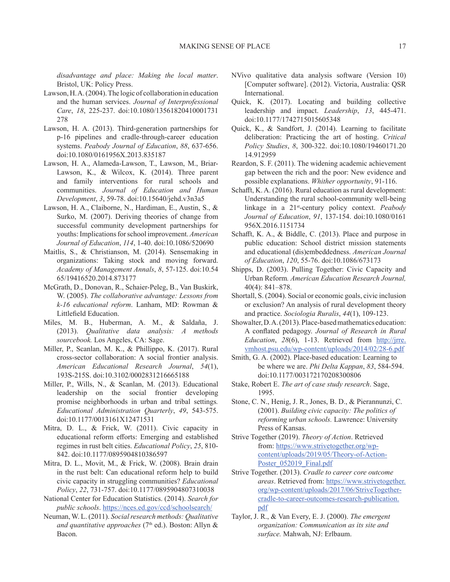*disadvantage and place: Making the local matter*. Bristol, UK: Policy Press.

- Lawson, H. A. (2004). The logic of collaboration in education and the human services. *Journal of Interprofessional Care*, *18*, 225-237. doi:10.1080/13561820410001731 278
- Lawson, H. A. (2013). Third-generation partnerships for p-16 pipelines and cradle-through-career education systems. *Peabody Journal of Education*, *88*, 637-656. doi:10.1080/0161956X.2013.835187
- Lawson, H. A., Alameda-Lawson, T., Lawson, M., Briar-Lawson, K., & Wilcox, K. (2014). Three parent and family interventions for rural schools and communities. *Journal of Education and Human Development*, *3*, 59-78. doi:10.15640/jehd.v3n3a5
- Lawson, H. A., Claiborne, N., Hardiman, E., Austin, S., & Surko, M. (2007). Deriving theories of change from successful community development partnerships for youths: Implications for school improvement. *American Journal of Education*, *114*, 1-40. doi:10.1086/520690
- Maitlis, S., & Christianson, M. (2014). Sensemaking in organizations: Taking stock and moving forward. *Academy of Management Annals*, *8*, 57-125. doi:10.54 65/19416520.2014.873177
- McGrath, D., Donovan, R., Schaier-Peleg, B., Van Buskirk, W. (2005). *The collaborative advantage: Lessons from k-16 educational reform*. Lanham, MD: Rowman & Littlefield Education.
- Miles, M. B., Huberman, A. M., & Saldaña, J. (2013). *Qualitative data analysis: A methods sourcebook.* Los Angeles, CA: Sage.
- Miller, P., Scanlan, M. K., & Phillippo, K. (2017). Rural cross-sector collaboration: A social frontier analysis. *American Educational Research Journal*, *54*(1), 193S-215S. doi:10.3102/0002831216665188
- Miller, P., Wills, N., & Scanlan, M. (2013). Educational leadership on the social frontier developing promise neighborhoods in urban and tribal settings*. Educational Administration Quarterly*, *49*, 543-575. doi:10.1177/0013161X12471531
- Mitra, D. L., & Frick, W. (2011). Civic capacity in educational reform efforts: Emerging and established regimes in rust belt cities. *Educational Policy*, *25*, 810- 842. doi:10.1177/0895904810386597
- Mitra, D. L., Movit, M., & Frick, W. (2008). Brain drain in the rust belt: Can educational reform help to build civic capacity in struggling communities? *Educational Policy*, *22*, 731-757. doi:10.1177/0895904807310038
- National Center for Education Statistics. (2014). *Search for public schools*. https://nces.ed.gov/ccd/schoolsearch/
- Neuman, W. L. (2011). *Social research methods: Qualitative*  and quantitative approaches (7<sup>th</sup> ed.). Boston: Allyn & Bacon.
- NVivo qualitative data analysis software (Version 10) [Computer software]. (2012). Victoria, Australia: QSR International.
- Quick, K. (2017). Locating and building collective leadership and impact. *Leadership*, *13*, 445-471. doi:10.1177/1742715015605348
- Quick, K., & Sandfort, J. (2014). Learning to facilitate deliberation: Practicing the art of hosting. *Critical Policy Studies*, *8*, 300-322. doi:10.1080/19460171.20 14.912959
- Reardon, S. F. (2011). The widening academic achievement gap between the rich and the poor: New evidence and possible explanations. *Whither opportunity*, 91-116.
- Schafft, K. A. (2016). Rural education as rural development: Understanding the rural school-community well-being linkage in a 21st-century policy context. *Peabody Journal of Education*, *91*, 137-154. doi:10.1080/0161 956X.2016.1151734
- Schafft, K. A., & Biddle, C. (2013). Place and purpose in public education: School district mission statements and educational (dis)embeddedness. *American Journal of Education*, *120*, 55-76. doi:10.1086/673173
- Shipps, D. (2003). Pulling Together: Civic Capacity and Urban Reform*. American Education Research Journal,* 40(4): 841–878.
- Shortall, S. (2004). Social or economic goals, civic inclusion or exclusion? An analysis of rural development theory and practice. *Sociologia Ruralis*, *44*(1), 109-123.
- Showalter, D. A. (2013). Place-based mathematics education: A confl ated pedagogy. *Journal of Research in Rural Education*, *28*(6), 1-13. Retrieved from http://jrre. vmhost.psu.edu/wp-content/uploads/2014/02/28-6.pdf
- Smith, G. A. (2002). Place-based education: Learning to be where we are. *Phi Delta Kappan*, *83*, 584-594. doi:10.1177/003172170208300806
- Stake, Robert E. *The art of case study research*. Sage, 1995.
- Stone, C. N., Henig, J. R., Jones, B. D., & Pierannunzi, C. (2001). *Building civic capacity: The politics of reforming urban schools.* Lawrence: University Press of Kansas.
- Strive Together (2019). *Theory of Action*. Retrieved from: https://www.strivetogether.org/wpcontent/uploads/2019/05/Theory-of-Action-Poster\_052019\_Final.pdf
- Strive Together. (2013). *Cradle to career core outcome areas*. Retrieved from: https://www.strivetogether. org/wp-content/uploads/2017/06/StriveTogethercradle-to-career-outcomes-research-publication. pdf
- Taylor, J. R., & Van Every, E. J. (2000). *The emergent organization: Communication as its site and surface.* Mahwah, NJ: Erlbaum.